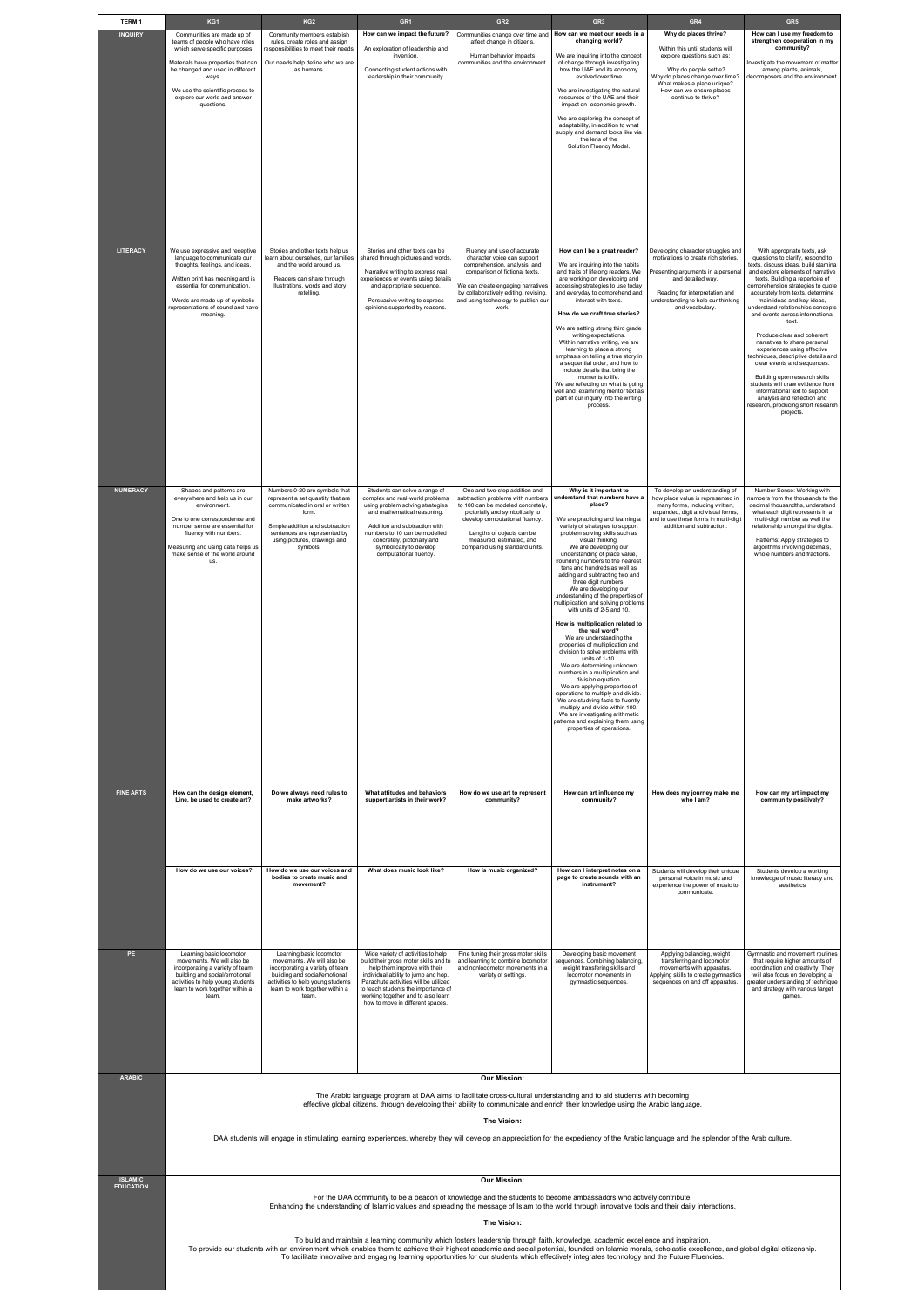| <b>TERM1</b>     | KG1                                                                                                                                                                                                                                                                                                                                                                                                                                                                                                              | KG <sub>2</sub>                                                                                                                                                                                                   | GR <sub>1</sub>                                                                                                                                                                                                                                                                                              | GR <sub>2</sub>                                                                                                                                                                                                                                            | GR <sub>3</sub>                                                                                                                                                                                                                                                                                                                                                                                                                                                                                                                                                                                                                                                                                                                                                                                                                               | GR4                                                                                                                                                                                                                                 | GR <sub>5</sub>                                                                                                                                                                                                                                                                                                                                                                                                                                                                                                                                                                                                                                                                                                                  |  |
|------------------|------------------------------------------------------------------------------------------------------------------------------------------------------------------------------------------------------------------------------------------------------------------------------------------------------------------------------------------------------------------------------------------------------------------------------------------------------------------------------------------------------------------|-------------------------------------------------------------------------------------------------------------------------------------------------------------------------------------------------------------------|--------------------------------------------------------------------------------------------------------------------------------------------------------------------------------------------------------------------------------------------------------------------------------------------------------------|------------------------------------------------------------------------------------------------------------------------------------------------------------------------------------------------------------------------------------------------------------|-----------------------------------------------------------------------------------------------------------------------------------------------------------------------------------------------------------------------------------------------------------------------------------------------------------------------------------------------------------------------------------------------------------------------------------------------------------------------------------------------------------------------------------------------------------------------------------------------------------------------------------------------------------------------------------------------------------------------------------------------------------------------------------------------------------------------------------------------|-------------------------------------------------------------------------------------------------------------------------------------------------------------------------------------------------------------------------------------|----------------------------------------------------------------------------------------------------------------------------------------------------------------------------------------------------------------------------------------------------------------------------------------------------------------------------------------------------------------------------------------------------------------------------------------------------------------------------------------------------------------------------------------------------------------------------------------------------------------------------------------------------------------------------------------------------------------------------------|--|
| <b>INQUIRY</b>   | Communities are made up of<br>teams of people who have roles<br>which serve specific purposes<br>Materials have properties that can<br>be changed and used in different<br>ways.<br>We use the scientific process to<br>explore our world and answer<br>questions.                                                                                                                                                                                                                                               | Community members establish<br>rules, create roles and assign<br>responsibilities to meet their needs.<br>Our needs help define who we are<br>as humans.                                                          | How can we impact the future?<br>An exploration of leadership and<br>invention.<br>Connecting student actions with<br>leadership in their community.                                                                                                                                                         | Communities change over time and<br>affect change in citizens.<br>Human behavior impacts<br>communities and the environment.                                                                                                                               | How can we meet our needs in a<br>changing world?<br>We are inquiring into the concept<br>of change through investigating<br>how the UAE and its economy<br>evolved over time<br>We are investigating the natural<br>resources of the UAE and their<br>impact on economic growth.<br>We are exploring the concept of<br>adaptability, in addition to what<br>supply and demand looks like via<br>the lens of the<br>Solution Fluency Model.                                                                                                                                                                                                                                                                                                                                                                                                   | Why do places thrive?<br>Within this until students will<br>explore questions such as:<br>Why do people settle?<br>Why do places change over time?<br>What makes a place unique?<br>How can we ensure places<br>continue to thrive? | How can I use my freedom to<br>strengthen cooperation in my<br>community?<br>Investigate the movement of matter<br>among plants, animals,<br>decomposers and the environment.                                                                                                                                                                                                                                                                                                                                                                                                                                                                                                                                                    |  |
| <b>LITERACY</b>  | We use expressive and receptive<br>language to communicate our<br>thoughts, feelings, and ideas.<br>Written print has meaning and is<br>essential for communication.<br>Words are made up of symbolic<br>representations of sound and have<br>meaning.                                                                                                                                                                                                                                                           | Stories and other texts help us<br>learn about ourselves, our families<br>and the world around us.<br>Readers can share through<br>illustrations, words and story<br>retelling.                                   | Stories and other texts can be<br>shared through pictures and words.<br>Narrative writing to express real<br>experiences or events using details<br>and appropriate sequence.<br>Persuasive writing to express<br>opinions supported by reasons.                                                             | Fluency and use of accurate<br>character voice can support<br>comprehension, analysis, and<br>comparison of fictional texts.<br>We can create engaging narratives<br>by collaboratively editing, revising,<br>and using technology to publish our<br>work. | How can I be a great reader?<br>We are inquiring into the habits<br>and traits of lifelong readers. We<br>are working on developing and<br>accessing strategies to use today<br>and everyday to comprehend and<br>interact with texts.<br>How do we craft true stories?<br>We are setting strong third grade<br>writing expectations.<br>Within narrative writing, we are<br>learning to place a strong<br>emphasis on telling a true story in<br>a sequential order, and how to<br>include details that bring the<br>moments to life.<br>We are reflecting on what is going<br>well and examining mentor text as<br>part of our inquiry into the writing<br>process.                                                                                                                                                                         | Developing character struggles and<br>motivations to create rich stories.<br>Presenting arguments in a personal<br>and detailed way.<br>Reading for interpretation and<br>understanding to help our thinking<br>and vocabulary.     | With appropriate texts, ask<br>questions to clarify, respond to<br>texts, discuss ideas, build stamina<br>and explore elements of narrative<br>texts. Building a repertoire of<br>comprehension strategies to quote<br>accurately from texts, determine<br>main ideas and key ideas,<br>understand relationships concepts<br>and events across informational<br>text.<br>Produce clear and coherent<br>narratives to share personal<br>experiences using effective<br>techniques, descriptive details and<br>clear events and sequences.<br>Building upon research skills<br>students will draw evidence from<br>informational text to support<br>analysis and reflection and<br>research, producing short research<br>projects. |  |
| <b>NUMERACY</b>  | Shapes and patterns are<br>everywhere and help us in our<br>environment.<br>One to one correspondence and<br>number sense are essential for<br>fluency with numbers.                                                                                                                                                                                                                                                                                                                                             | Numbers 0-20 are symbols that<br>represent a set quantity that are<br>communicated in oral or written<br>form.<br>Simple addition and subtraction<br>sentences are represented by<br>using pictures, drawings and | Students can solve a range of<br>complex and real-world problems<br>using problem solving strategies<br>and mathematical reasoning.<br>Addition and subtraction with<br>numbers to 10 can be modelled<br>concretely, pictorially and                                                                         | One and two-step addition and<br>to 100 can be modeled concretely,<br>pictorially and symbolically to<br>develop computational fluency.<br>Lengths of objects can be<br>measured, estimated, and                                                           | Why is it important to<br>subtraction problems with numbers   understand that numbers have a<br>place?<br>We are practicing and learning a<br>variety of strategies to support<br>problem solving skills such as<br>visual thinking.                                                                                                                                                                                                                                                                                                                                                                                                                                                                                                                                                                                                          | To develop an understanding of<br>how place value is represented in<br>many forms, including written,<br>expanded, digit and visual forms,<br>and to use these forms in multi-digit<br>addition and subtraction.                    | Number Sense: Working with<br>numbers from the thousands to the<br>decimal thousandths, understand<br>what each digit represents in a<br>multi-digit number as well the<br>relationship amongst the digits.<br>Patterns: Apply strategies to                                                                                                                                                                                                                                                                                                                                                                                                                                                                                     |  |
|                  | Measuring and using data helps us<br>make sense of the world around<br>us.                                                                                                                                                                                                                                                                                                                                                                                                                                       | symbols.                                                                                                                                                                                                          | symbolically to develop<br>computational fluency.                                                                                                                                                                                                                                                            | compared using standard units.                                                                                                                                                                                                                             | We are developing our<br>understanding of place value,<br>rounding numbers to the nearest<br>tens and hundreds as well as<br>adding and subtracting two and<br>three digit numbers.<br>We are developing our<br>understanding of the properties of<br>multiplication and solving problems<br>with units of 2-5 and 10.<br>How is multiplication related to<br>the real word?<br>We are understanding the<br>properties of multiplication and<br>division to solve problems with<br>units of 1-10.<br>We are determining unknown<br>numbers in a multiplication and<br>division equation.<br>We are applying properties of<br>operations to multiply and divide.<br>We are studying facts to fluently<br>multiply and divide within 100.<br>We are investigating arithmetic<br>patterns and explaining them using<br>properties of operations. |                                                                                                                                                                                                                                     | algorithms involving decimals,<br>whole numbers and fractions.                                                                                                                                                                                                                                                                                                                                                                                                                                                                                                                                                                                                                                                                   |  |
| <b>FINE ARTS</b> | How can the design element,<br>Line, be used to create art?                                                                                                                                                                                                                                                                                                                                                                                                                                                      | Do we always need rules to<br>make artworks?                                                                                                                                                                      | What attitudes and behaviors<br>support artists in their work?                                                                                                                                                                                                                                               | How do we use art to represent<br>community?                                                                                                                                                                                                               | How can art influence my<br>community?                                                                                                                                                                                                                                                                                                                                                                                                                                                                                                                                                                                                                                                                                                                                                                                                        | How does my journey make me<br>who I am?                                                                                                                                                                                            | How can my art impact my<br>community positively?                                                                                                                                                                                                                                                                                                                                                                                                                                                                                                                                                                                                                                                                                |  |
|                  | How do we use our voices?                                                                                                                                                                                                                                                                                                                                                                                                                                                                                        | How do we use our voices and<br>bodies to create music and<br>movement?                                                                                                                                           | What does music look like?                                                                                                                                                                                                                                                                                   | How is music organized?                                                                                                                                                                                                                                    | How can I interpret notes on a<br>page to create sounds with an<br>instrument?                                                                                                                                                                                                                                                                                                                                                                                                                                                                                                                                                                                                                                                                                                                                                                | Students will develop their unique<br>personal voice in music and<br>experience the power of music to<br>communicate.                                                                                                               | Students develop a working<br>knowledge of music literacy and<br>aesthetics                                                                                                                                                                                                                                                                                                                                                                                                                                                                                                                                                                                                                                                      |  |
| PE               | Learning basic locomotor<br>movements. We will also be<br>incorporating a variety of team<br>building and social/emotional<br>activities to help young students<br>learn to work together within a<br>team.                                                                                                                                                                                                                                                                                                      | Learning basic locomotor<br>movements. We will also be<br>incorporating a variety of team<br>building and social/emotional<br>activities to help young students<br>learn to work together within a<br>team.       | Wide variety of activities to help<br>build their gross motor skills and to<br>help them improve with their<br>individual ability to jump and hop.<br>Parachute activities will be utilized<br>to teach students the importance of<br>working together and to also learn<br>how to move in different spaces. | Fine tuning their gross motor skills<br>and learning to combine locomotor<br>and nonlocomotor movements in a<br>variety of settings.                                                                                                                       | Developing basic movement<br>sequences. Combining balancing,<br>weight transfering skills and<br>locomotor movements in<br>gymnastic sequences.                                                                                                                                                                                                                                                                                                                                                                                                                                                                                                                                                                                                                                                                                               | Applying balancing, weight<br>transferring and locomotor<br>movements with apparatus.<br>Applying skills to create gymnastics<br>sequences on and off apparatus.                                                                    | Gymnastic and movement routines<br>that require higher amounts of<br>coordination and creativity. They<br>will also focus on developing a<br>greater understanding of technique<br>and strategy with various target<br>games.                                                                                                                                                                                                                                                                                                                                                                                                                                                                                                    |  |
| <b>ARABIC</b>    |                                                                                                                                                                                                                                                                                                                                                                                                                                                                                                                  |                                                                                                                                                                                                                   |                                                                                                                                                                                                                                                                                                              | <b>Our Mission:</b>                                                                                                                                                                                                                                        |                                                                                                                                                                                                                                                                                                                                                                                                                                                                                                                                                                                                                                                                                                                                                                                                                                               |                                                                                                                                                                                                                                     |                                                                                                                                                                                                                                                                                                                                                                                                                                                                                                                                                                                                                                                                                                                                  |  |
|                  | The Arabic language program at DAA aims to facilitate cross-cultural understanding and to aid students with becoming<br>effective global citizens, through developing their ability to communicate and enrich their knowledge using the Arabic language.<br>The Vision:<br>DAA students will engage in stimulating learning experiences, whereby they will develop an appreciation for the expediency of the Arabic language and the splendor of the Arab culture.                                               |                                                                                                                                                                                                                   |                                                                                                                                                                                                                                                                                                              |                                                                                                                                                                                                                                                            |                                                                                                                                                                                                                                                                                                                                                                                                                                                                                                                                                                                                                                                                                                                                                                                                                                               |                                                                                                                                                                                                                                     |                                                                                                                                                                                                                                                                                                                                                                                                                                                                                                                                                                                                                                                                                                                                  |  |
| <b>ISLAMIC</b>   | <b>Our Mission:</b>                                                                                                                                                                                                                                                                                                                                                                                                                                                                                              |                                                                                                                                                                                                                   |                                                                                                                                                                                                                                                                                                              |                                                                                                                                                                                                                                                            |                                                                                                                                                                                                                                                                                                                                                                                                                                                                                                                                                                                                                                                                                                                                                                                                                                               |                                                                                                                                                                                                                                     |                                                                                                                                                                                                                                                                                                                                                                                                                                                                                                                                                                                                                                                                                                                                  |  |
| <b>EDUCATION</b> | For the DAA community to be a beacon of knowledge and the students to become ambassadors who actively contribute.<br>Enhancing the understanding of Islamic values and spreading the message of Islam to the world through innovative tools and their daily interactions.                                                                                                                                                                                                                                        |                                                                                                                                                                                                                   |                                                                                                                                                                                                                                                                                                              |                                                                                                                                                                                                                                                            |                                                                                                                                                                                                                                                                                                                                                                                                                                                                                                                                                                                                                                                                                                                                                                                                                                               |                                                                                                                                                                                                                                     |                                                                                                                                                                                                                                                                                                                                                                                                                                                                                                                                                                                                                                                                                                                                  |  |
|                  | The Vision:<br>To build and maintain a learning community which fosters leadership through faith, knowledge, academic excellence and inspiration.<br>To provide our students with an environment which enables them to achieve their highest academic and social potential, founded on Islamic morals, scholastic excellence, and global digital citizenship.<br>To facilitate innovative and engaging learning opportunities for our students which effectively integrates technology and the Future Fluencies. |                                                                                                                                                                                                                   |                                                                                                                                                                                                                                                                                                              |                                                                                                                                                                                                                                                            |                                                                                                                                                                                                                                                                                                                                                                                                                                                                                                                                                                                                                                                                                                                                                                                                                                               |                                                                                                                                                                                                                                     |                                                                                                                                                                                                                                                                                                                                                                                                                                                                                                                                                                                                                                                                                                                                  |  |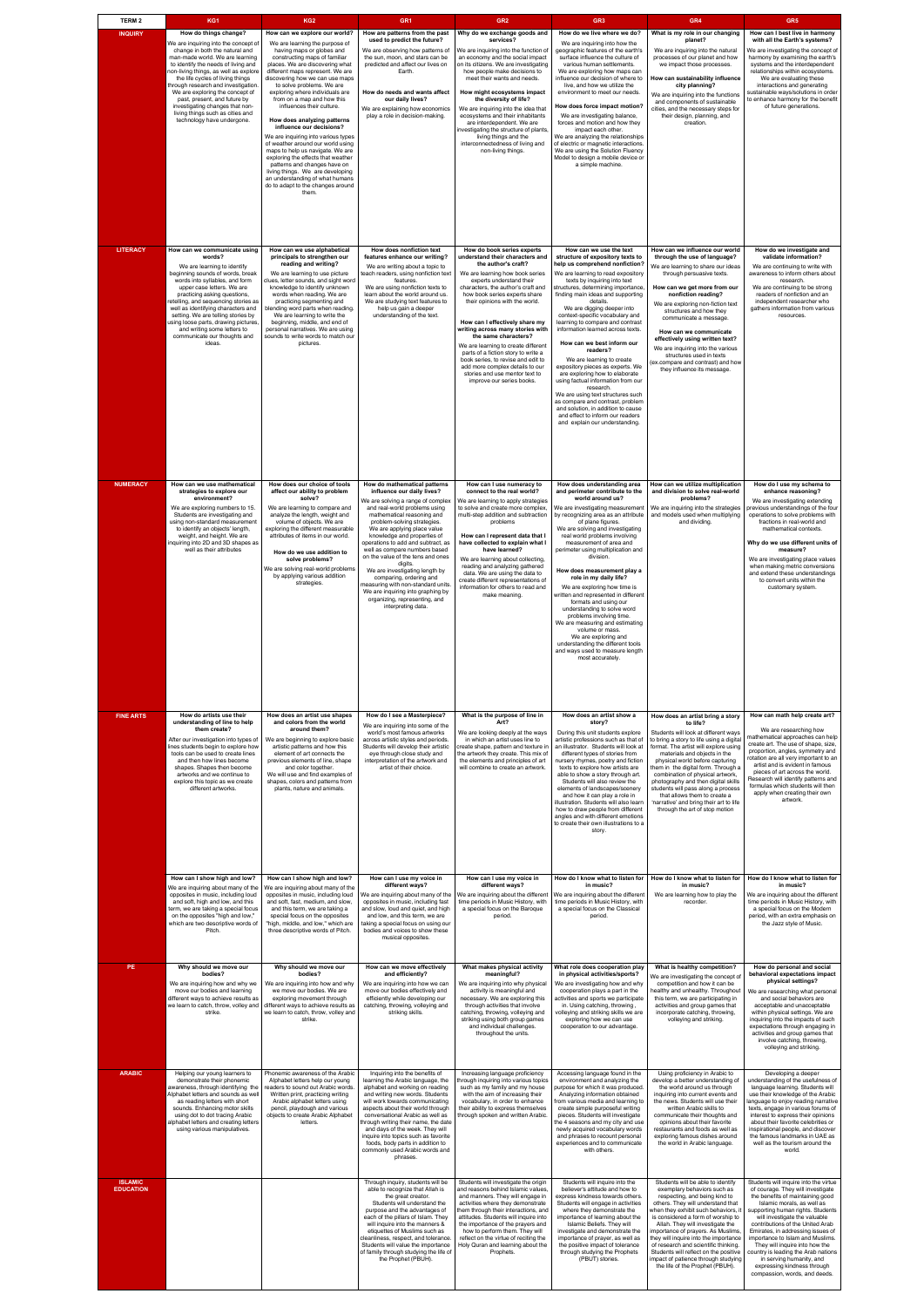| <b>TERM 2</b>                      | KG1                                                                                                                                                                                                                                                                                                                                                                                                                                                                   | KG <sub>2</sub>                                                                                                                                                                                                                                                                                                                                                                                                                                                                                                                                                                                                                                                                                                                          | GR <sub>1</sub>                                                                                                                                                                                                                                                                                                                                                                                                                                                                                                                                                                  | GR <sub>2</sub>                                                                                                                                                                                                                                                                                                                                                                                                                                                                                                                                                                  | GR <sub>3</sub>                                                                                                                                                                                                                                                                                                                                                                                                                                                                                                                                                                                                                                                                                                                                                                           | GR4                                                                                                                                                                                                                                                                                                                                                                                                                                                                                                              | GR <sub>5</sub>                                                                                                                                                                                                                                                                                                                                                                                                                                                                                      |
|------------------------------------|-----------------------------------------------------------------------------------------------------------------------------------------------------------------------------------------------------------------------------------------------------------------------------------------------------------------------------------------------------------------------------------------------------------------------------------------------------------------------|------------------------------------------------------------------------------------------------------------------------------------------------------------------------------------------------------------------------------------------------------------------------------------------------------------------------------------------------------------------------------------------------------------------------------------------------------------------------------------------------------------------------------------------------------------------------------------------------------------------------------------------------------------------------------------------------------------------------------------------|----------------------------------------------------------------------------------------------------------------------------------------------------------------------------------------------------------------------------------------------------------------------------------------------------------------------------------------------------------------------------------------------------------------------------------------------------------------------------------------------------------------------------------------------------------------------------------|----------------------------------------------------------------------------------------------------------------------------------------------------------------------------------------------------------------------------------------------------------------------------------------------------------------------------------------------------------------------------------------------------------------------------------------------------------------------------------------------------------------------------------------------------------------------------------|-------------------------------------------------------------------------------------------------------------------------------------------------------------------------------------------------------------------------------------------------------------------------------------------------------------------------------------------------------------------------------------------------------------------------------------------------------------------------------------------------------------------------------------------------------------------------------------------------------------------------------------------------------------------------------------------------------------------------------------------------------------------------------------------|------------------------------------------------------------------------------------------------------------------------------------------------------------------------------------------------------------------------------------------------------------------------------------------------------------------------------------------------------------------------------------------------------------------------------------------------------------------------------------------------------------------|------------------------------------------------------------------------------------------------------------------------------------------------------------------------------------------------------------------------------------------------------------------------------------------------------------------------------------------------------------------------------------------------------------------------------------------------------------------------------------------------------|
| <b>INQUIRY</b>                     | How do things change?<br>We are inquiring into the concept of<br>change in both the natural and<br>man-made world. We are learning<br>to identify the needs of living and<br>non-living things, as well as explore<br>the life cycles of living things<br>through research and investigation.<br>We are exploring the concept of<br>past, present, and future by<br>investigating changes that non-<br>living things such as cities and<br>technology have undergone. | How can we explore our world?<br>We are learning the purpose of<br>having maps or globes and<br>constructing maps of familiar<br>places. We are discovering what<br>different maps represent. We are<br>discovering how we can use maps<br>to solve problems. We are<br>exploring where individuals are<br>from on a map and how this<br>influences their culture.<br>How does analyzing patterns<br>influence our decisions?<br>We are inquiring into various types<br>of weather around our world using<br>maps to help us navigate. We are<br>exploring the effects that weather<br>patterns and changes have on<br>living things. We are developing<br>an understanding of what humans<br>do to adapt to the changes around<br>them. | How are patterns from the past<br>used to predict the future?<br>We are observing how patterns of<br>the sun, moon, and stars can be<br>predicted and affect our lives on<br>Earth.<br>How do needs and wants affect<br>our daily lives?<br>We are explaining how economics<br>play a role in decision-making.                                                                                                                                                                                                                                                                   | Why do we exchange goods and<br>services?<br>We are inquiring into the function of<br>an economy and the social impact<br>on its citizens. We are investigating<br>how people make decisions to<br>meet their wants and needs.<br>How might ecosystems impact<br>the diversity of life?<br>We are inquiring into the idea that<br>ecosystems and their inhabitants<br>are interdependent. We are<br>investigating the structure of plants,<br>living things and the<br>interconnectedness of living and<br>non-living things.                                                    | How do we live where we do?<br>We are inquiring into how the<br>geographic features of the earth's<br>surface influence the culture of<br>various human settlements.<br>We are exploring how maps can<br>influence our decision of where to<br>live, and how we utilize the<br>environment to meet our needs.<br>How does force impact motion?<br>We are investigating balance,<br>forces and motion and how they<br>impact each other.<br>We are analyzing the relationships<br>of electric or magnetic interactions.<br>We are using the Solution Fluency<br>Model to design a mobile device or<br>a simple machine.                                                                                                                                                                    | What is my role in our changing<br>planet?<br>We are inquiring into the natural<br>processes of our planet and how<br>we impact those processes.<br>How can sustainability influence<br>city planning?<br>We are inquiring into the functions<br>and components of sustainable<br>cities, and the necessary steps for<br>their design, planning, and<br>creation.                                                                                                                                                | How can I best live in harmony<br>with all the Earth's systems?<br>We are investigating the concept of<br>harmony by examining the earth's<br>systems and the interdependent<br>relationships within ecosystems.<br>We are evaluating these<br>interactions and generating<br>sustainable ways/solutions in order<br>to enhance harmony for the benefit<br>of future generations.                                                                                                                    |
| <b>LITERACY</b>                    | How can we communicate using<br>words?<br>We are learning to identify<br>beginning sounds of words, break<br>words into syllables, and form<br>upper case letters. We are<br>practicing asking questions,<br>retelling, and sequencing stories as<br>well as identifying characters and<br>setting. We are telling stories by<br>using loose parts, drawing pictures,<br>and writing some letters to<br>communicate our thoughts and<br>ideas.                        | How can we use alphabetical<br>principals to strengthen our<br>reading and writing?<br>We are learning to use picture<br>clues, letter sounds, and sight word<br>knowledge to identify unknown<br>words when reading. We are<br>practicing segmenting and<br>blending word parts when reading.<br>We are learning to write the<br>beginning, middle, and end of<br>personal narratives. We are using<br>sounds to write words to match our<br>pictures.                                                                                                                                                                                                                                                                                  | How does nonfiction text<br>features enhance our writing?<br>We are writing about a topic to<br>teach readers, using nonfiction text<br>features<br>We are using nonfiction texts to<br>learn about the world around us.<br>We are studying text features to<br>help us gain a deeper<br>understanding of the text.                                                                                                                                                                                                                                                              | How do book series experts<br>understand their characters and<br>the author's craft?<br>We are learning how book series<br>experts understand their<br>characters, the author's craft and<br>how book series experts share<br>their opinions with the world.<br>How can I effectively share my<br>writing across many stories with<br>the same characters?<br>We are learning to create different<br>parts of a fiction story to write a<br>book series, to revise and edit to<br>add more complex details to our<br>stories and use mentor text to<br>improve our series books. | How can we use the text<br>structure of expository texts to<br>help us comprehend nonfiction?<br>We are learning to read expository<br>texts by inquiring into text<br>structures, determining importance<br>finding main ideas and supporting<br>details.<br>We are digging deeper into<br>context-specific vocabulary and<br>learning to compare and contrast<br>information learned across texts.<br>How can we best inform our<br>readers?<br>We are learning to create<br>expository pieces as experts. We<br>are exploring how to elaborate<br>using factual information from our<br>research.<br>We are using text structures such<br>as compare and contrast, problem<br>and solution, in addition to cause<br>and effect to inform our readers<br>and explain our understanding. | How can we influence our world<br>through the use of language?<br>We are learning to share our ideas<br>through persuasive texts.<br>How can we get more from our<br>nonfiction reading?<br>We are exploring non-fiction text<br>structures and how they<br>communicate a message.<br>How can we communicate<br>effectively using written text?<br>We are inquiring into the various<br>structures used in texts<br>(ex.compare and contrast) and how<br>they influence its message.                             | How do we investigate and<br>validate information?<br>We are continuing to write with<br>awareness to inform others about<br>research.<br>We are continuing to be strong<br>readers of nonfiction and an<br>independent researcher who<br>gathers information from various<br>resources.                                                                                                                                                                                                             |
| <b>NUMERACY</b>                    | How can we use mathematical<br>strategies to explore our<br>environment?<br>We are exploring numbers to 15.<br>Students are investigating and<br>using non-standard measurement<br>to identify an objects' length,<br>weight, and height. We are<br>inquiring into 2D and 3D shapes as<br>well as their attributes                                                                                                                                                    | How does our choice of tools<br>affect our ability to problem<br>solve?<br>We are learning to compare and<br>analyze the length, weight and<br>volume of objects. We are<br>exploring the different measurable<br>attributes of items in our world.<br>How do we use addition to<br>solve problems?<br>We are solving real-world problems<br>by applying various addition<br>strategies.                                                                                                                                                                                                                                                                                                                                                 | How do mathematical patterns<br>influence our daily lives?<br>We are solving a range of complex<br>and real-world problems using<br>mathematical reasoning and<br>problem-solving strategies.<br>We are applying place value<br>knowledge and properties of<br>operations to add and subtract, as<br>well as compare numbers based<br>on the value of the tens and ones<br>digits<br>We are investigating length by<br>comparing, ordering and<br>measuring with non-standard units.<br>We are inquiring into graphing by<br>organizing, representing, and<br>interpreting data. | How can I use numeracy to<br>connect to the real world?<br>We are learning to apply strategies<br>to solve and create more complex,<br>multi-step addition and subtraction<br>problems<br>How can I represent data that I<br>have collected to explain what I<br>have learned?<br>We are learning about collecting,<br>reading and analyzing gathered<br>data. We are using the data to<br>create different representations of<br>information for others to read and<br>make meaning.                                                                                            | How does understanding area<br>and perimeter contribute to the<br>world around us?<br>by recognizing area as an attribute<br>of plane figures.<br>We are solving and investigating<br>real world problems involving<br>measurement of area and<br>perimeter using multiplication and<br>division.<br>How does measurement play a<br>role in my daily life?<br>We are exploring how time is<br>written and represented in different<br>formats and using our<br>understanding to solve word<br>problems involving time.<br>We are measuring and estimating<br>volume or mass.<br>We are exploring and<br>understanding the different tools<br>and ways used to measure length<br>most accurately.                                                                                          | How can we utilize multiplication<br>and division to solve real-world<br>problems?<br>We are investigating measurement   We are inquiring into the strategies<br>and models used when multiplying<br>and dividing.                                                                                                                                                                                                                                                                                               | How do I use my schema to<br>enhance reasoning?<br>We are investigating extending<br>previous understandings of the fou<br>operations to solve problems with<br>fractions in real-world and<br>mathematical contexts.<br>Why do we use different units of<br>measure?<br>We are investigating place values<br>when making metric conversions<br>and extend these understandings<br>to convert units within the<br>customary system.                                                                  |
| <b>FINE ARTS</b>                   | How do artists use their<br>understanding of line to help<br>them create?<br>After our investigation into types of<br>lines students begin to explore how<br>tools can be used to create lines<br>and then how lines become<br>shapes. Shapes then become<br>artworks and we continue to<br>explore this topic as we create<br>different artworks.                                                                                                                    | How does an artist use shapes<br>and colors from the world<br>around them?<br>We are beginning to explore basic<br>artistic patterns and how this<br>element of art connects the<br>previous elements of line, shape<br>and color together.<br>We will use and find examples of<br>shapes, colors and patterns from<br>plants, nature and animals.                                                                                                                                                                                                                                                                                                                                                                                       | How do I see a Masterpiece?<br>We are inquiring into some of the<br>world's most famous artworks<br>across artistic styles and periods.<br>Students will develop their artistic<br>eye through close study and<br>interpretation of the artwork and<br>artist of their choice.                                                                                                                                                                                                                                                                                                   | What is the purpose of line in<br>Art?<br>We are looking deeply at the ways<br>in which an artist uses line to<br>create shape, pattern and texture in<br>the artwork they create. This mix of<br>the elements and principles of art<br>will combine to create an artwork.                                                                                                                                                                                                                                                                                                       | How does an artist show a<br>story?<br>During this unit students explore<br>artistic professions such as that of<br>an illustrator. Students will look at<br>different types of stories from<br>nursery rhymes, poetry and fiction<br>texts to explore how artists are<br>able to show a story through art.<br>Students will also review the<br>elements of landscapes/scenery<br>and how it can play a role in<br>illustration. Students will also learn<br>how to draw people from different<br>angles and with different emotions<br>to create their own illustrations to a<br>story.                                                                                                                                                                                                  | How does an artist bring a story<br>to life?<br>Students will look at different ways<br>to bring a story to life using a digital<br>format. The artist will explore using<br>materials and objects in the<br>physical world before capturing<br>them in the digital form. Through a<br>combination of physical artwork,<br>photography and then digital skills<br>students will pass along a process<br>that allows them to create a<br>narrative' and bring their art to life<br>through the art of stop motion | How can math help create art?<br>We are researching how<br>mathematical approaches can help<br>create art. The use of shape, size,<br>proportion, angles, symmetry and<br>rotation are all very important to an<br>artist and is evident in famous<br>pieces of art across the world.<br>Research will identify patterns and<br>formulas which students will then<br>apply when creating their own<br>artwork.                                                                                       |
|                                    | How can I show high and low?<br>We are inquiring about many of the<br>opposites in music, including loud<br>and soft, high and low, and this<br>term, we are taking a special focus<br>on the opposites "high and low,"<br>which are two descriptive words of<br>Pitch.                                                                                                                                                                                               | How can I show high and low?<br>We are inquiring about many of the<br>opposites in music, including loud<br>and soft, fast, medium, and slow,<br>and this term, we are taking a<br>special focus on the opposites<br>'high, middle, and low," which are<br>three descriptive words of Pitch.                                                                                                                                                                                                                                                                                                                                                                                                                                             | How can I use my voice in<br>different ways?<br>We are inquiring about many of the<br>opposites in music, including fast<br>and slow, loud and quiet, and high<br>and low, and this term, we are<br>taking a special focus on using our<br>bodies and voices to show these<br>musical opposites.                                                                                                                                                                                                                                                                                 | How can I use my voice in<br>different ways?<br>We are inquiring about the different<br>time periods in Music History, with<br>a special focus on the Baroque<br>period.                                                                                                                                                                                                                                                                                                                                                                                                         | How do I know what to listen for<br>in music?<br>We are inquiring about the different<br>time periods in Music History, with<br>a special focus on the Classical<br>period.                                                                                                                                                                                                                                                                                                                                                                                                                                                                                                                                                                                                               | How do I know what to listen for<br>in music?<br>We are learning how to play the<br>recorder.                                                                                                                                                                                                                                                                                                                                                                                                                    | How do I know what to listen for<br>in music?<br>We are inquiring about the different<br>time periods in Music History, with<br>a special focus on the Modern<br>period, with an extra emphasis on<br>the Jazz style of Music.                                                                                                                                                                                                                                                                       |
| PE.                                | Why should we move our<br>bodies?<br>We are inquiring how and why we<br>move our bodies and learning<br>different ways to achieve results as<br>we learn to catch, throw, volley and<br>strike.                                                                                                                                                                                                                                                                       | Why should we move our<br>bodies?<br>We are inquiring into how and why<br>we move our bodies. We are<br>exploring movement through<br>different ways to achieve results as<br>we learn to catch, throw, volley and<br>strike.                                                                                                                                                                                                                                                                                                                                                                                                                                                                                                            | How can we move effectively<br>and efficiently?<br>We are inquiring into how we can<br>move our bodies effectively and<br>efficiently while developing our<br>catching, throwing, volleying and<br>striking skills.                                                                                                                                                                                                                                                                                                                                                              | What makes physical activity<br>meaningful?<br>We are inquiring into why physical<br>activity is meaningful and<br>necessary. We are exploring this<br>through activities that involve<br>catching, throwing, volleying and<br>striking using both group games<br>and individual challenges.<br>throughout the units.                                                                                                                                                                                                                                                            | What role does cooperation play<br>in physical activities/sports?<br>We are investigating how and why<br>cooperation plays a part in the<br>activities and sports we participate<br>in. Using catching, throwing,<br>volleying and striking skills we are<br>exploring how we can use<br>cooperation to our advantage.                                                                                                                                                                                                                                                                                                                                                                                                                                                                    | What is healthy competition?<br>We are investigating the concept of<br>competition and how it can be<br>healthy and unhealthy. Throughout<br>this term, we are participating in<br>activities and group games that<br>incorporate catching, throwing,<br>volleying and striking.                                                                                                                                                                                                                                 | How do personal and social<br>behavioral expectations impact<br>physical settings?<br>We are researching what personal<br>and social behaviors are<br>acceptable and unacceptable<br>within physical settings. We are<br>inquiring into the impacts of such<br>expectations through engaging in<br>activities and group games that<br>involve catching, throwing,<br>volleying and striking.                                                                                                         |
| <b>ARABIC</b>                      | Helping our young learners to<br>demonstrate their phonemic<br>awareness, through identifying the<br>Alphabet letters and sounds as well<br>as reading letters with short<br>sounds. Enhancing motor skills<br>using dot to dot tracing Arabic<br>alphabet letters and creating letters<br>using various manipulatives.                                                                                                                                               | Phonemic awareness of the Arabic<br>Alphabet letters help our young<br>readers to sound out Arabic words.<br>Written print, practicing writing<br>Arabic alphabet letters using<br>pencil, playdough and various<br>objects to create Arabic Alphabet<br>letters.                                                                                                                                                                                                                                                                                                                                                                                                                                                                        | Inquiring into the benefits of<br>learning the Arabic language, the<br>alphabet and working on reading<br>and writing new words. Students<br>will work towards communicating<br>aspects about their world through<br>conversational Arabic as well as<br>through writing their name, the date<br>and days of the week. They will<br>inquire into topics such as favorite<br>foods, body parts in addition to<br>commonly used Arabic words and<br>phrases.                                                                                                                       | Increasing language proficiency<br>through inquiring into various topics<br>such as my family and my house<br>with the aim of increasing their<br>vocabulary, in order to enhance<br>their ability to express themselves<br>through spoken and written Arabic.                                                                                                                                                                                                                                                                                                                   | Accessing language found in the<br>environment and analyzing the<br>purpose for which it was produced.<br>Analyzing information obtained<br>from various media and learning to<br>create simple purposeful writing<br>pieces. Students will investigate<br>the 4 seasons and my city and use<br>newly acquired vocabulary words<br>and phrases to recount personal<br>experiences and to communicate<br>with others.                                                                                                                                                                                                                                                                                                                                                                      | Using proficiency in Arabic to<br>develop a better understanding of<br>the world around us through<br>inquiring into current events and<br>the news. Students will use their<br>written Arabic skills to<br>communicate their thoughts and<br>opinions about their favorite<br>restaurants and foods as well as<br>exploring famous dishes around<br>the world in Arabic language.                                                                                                                               | Developing a deeper<br>understanding of the usefulness of<br>language learning. Students will<br>use their knowledge of the Arabic<br>language to enjoy reading narrative<br>texts, engage in various forums of<br>interest to express their opinions<br>about their favorite celebrities or<br>inspirational people, and discover<br>the famous landmarks in UAE as<br>well as the tourism around the<br>world.                                                                                     |
| <b>ISLAMIC</b><br><b>EDUCATION</b> |                                                                                                                                                                                                                                                                                                                                                                                                                                                                       |                                                                                                                                                                                                                                                                                                                                                                                                                                                                                                                                                                                                                                                                                                                                          | Through inquiry, students will be<br>able to recognize that Allah is<br>the great creator.<br>Students will understand the<br>purpose and the advantages of<br>each of the pillars of Islam. They<br>will inquire into the manners &<br>etiquettes of Muslims such as<br>cleanliness, respect, and tolerance.<br>Students will value the importance<br>of family through studying the life of<br>the Prophet (PBUH).                                                                                                                                                             | Students will investigate the origin<br>and reasons behind Islamic values,<br>and manners. They will engage in<br>activities where they demonstrate<br>them through their interactions, and<br>attitudes. Students will inquire into<br>the importance of the prayers and<br>how to perform them. They will<br>reflect on the virtue of reciting the<br>Holy Quran and learning about the<br>Prophets.                                                                                                                                                                           | Students will inquire into the<br>believer's attitude and how to<br>express kindness towards others.<br>Students will engage in activities<br>where they demonstrate the<br>importance of learning about the<br>Islamic Beliefs. They will<br>investigate and demonstrate the<br>importance of prayer, as well as<br>the positive impact of tolerance<br>through studying the Prophets<br>(PBUT) stories.                                                                                                                                                                                                                                                                                                                                                                                 | Students will be able to identify<br>exemplary behaviors such as<br>respecting, and being kind to<br>others. They will understand that<br>when they exhibit such behaviors, it<br>is considered a form of worship to<br>Allah. They will investigate the<br>importance of prayers. As Muslims,<br>they will inquire into the importance<br>of research and scientific thinking.<br>Students will reflect on the positive<br>impact of patience through studying<br>the life of the Prophet (PBUH).               | Students will inquire into the virtue<br>of courage. They will investigate<br>the benefits of maintaining good<br>Islamic morals, as well as<br>supporting human rights. Students<br>will investigate the valuable<br>contributions of the United Arab<br>Emirates, in addressing issues of<br>importance to Islam and Muslims.<br>They will inquire into how the<br>country is leading the Arab nations<br>in serving humanity, and<br>expressing kindness through<br>compassion, words, and deeds. |